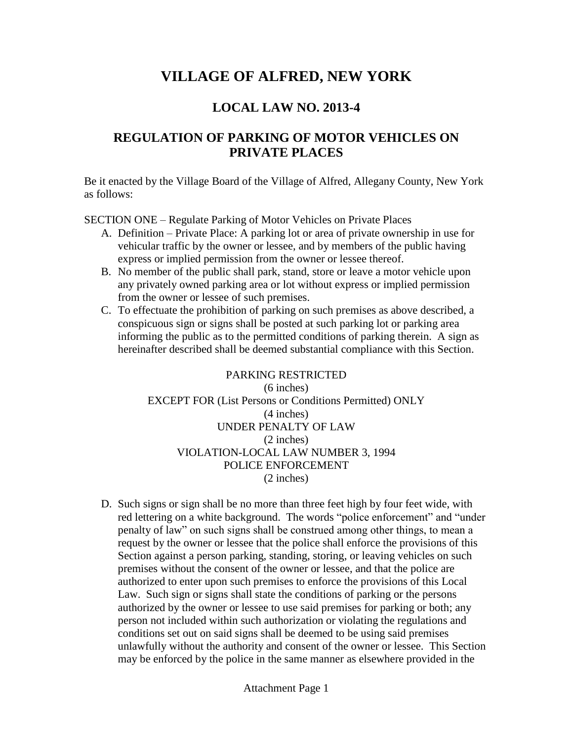# **VILLAGE OF ALFRED, NEW YORK**

## **LOCAL LAW NO. 2013-4**

## **REGULATION OF PARKING OF MOTOR VEHICLES ON PRIVATE PLACES**

Be it enacted by the Village Board of the Village of Alfred, Allegany County, New York as follows:

SECTION ONE – Regulate Parking of Motor Vehicles on Private Places

- A. Definition Private Place: A parking lot or area of private ownership in use for vehicular traffic by the owner or lessee, and by members of the public having express or implied permission from the owner or lessee thereof.
- B. No member of the public shall park, stand, store or leave a motor vehicle upon any privately owned parking area or lot without express or implied permission from the owner or lessee of such premises.
- C. To effectuate the prohibition of parking on such premises as above described, a conspicuous sign or signs shall be posted at such parking lot or parking area informing the public as to the permitted conditions of parking therein. A sign as hereinafter described shall be deemed substantial compliance with this Section.

PARKING RESTRICTED (6 inches) EXCEPT FOR (List Persons or Conditions Permitted) ONLY (4 inches) UNDER PENALTY OF LAW (2 inches) VIOLATION-LOCAL LAW NUMBER 3, 1994 POLICE ENFORCEMENT (2 inches)

D. Such signs or sign shall be no more than three feet high by four feet wide, with Such signs or sign shall be no more than three feet high by four feet wide, with<br>red lettering on a white background. The words "police enforcement" and "under Such signs or sign shall be no more than three feet high by four feet wide, with red lettering on a white background. The words "police enforcement" and "under penalty of law" on such signs shall be construed among other t request by the owner or lessee that the police shall enforce the provisions of this Section against a person parking, standing, storing, or leaving vehicles on such premises without the consent of the owner or lessee, and that the police are authorized to enter upon such premises to enforce the provisions of this Local Law. Such sign or signs shall state the conditions of parking or the persons authorized by the owner or lessee to use said premises for parking or both; any person not included within such authorization or violating the regulations and conditions set out on said signs shall be deemed to be using said premises unlawfully without the authority and consent of the owner or lessee. This Section may be enforced by the police in the same manner as elsewhere provided in the

Attachment Page 1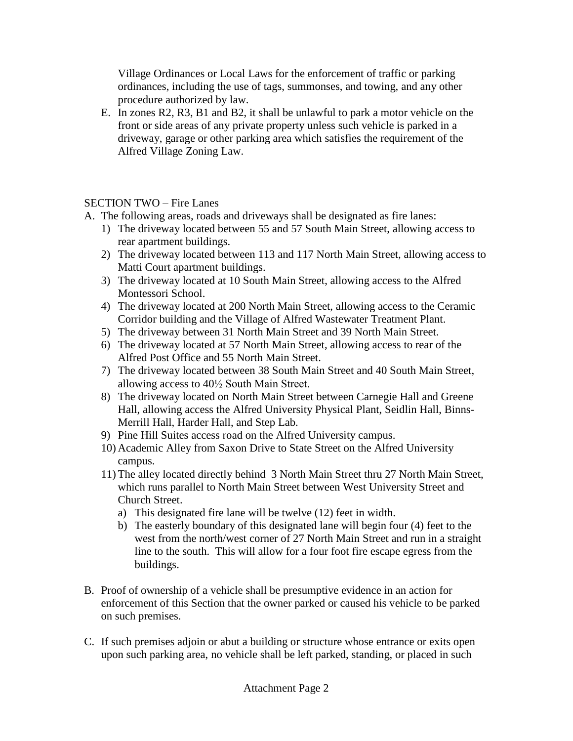Village Ordinances or Local Laws for the enforcement of traffic or parking ordinances, including the use of tags, summonses, and towing, and any other procedure authorized by law.

E. In zones R2, R3, B1 and B2, it shall be unlawful to park a motor vehicle on the front or side areas of any private property unless such vehicle is parked in a driveway, garage or other parking area which satisfies the requirement of the Alfred Village Zoning Law.

### $SECTION TWO - Fire$  Lanes

- A. The following areas, roads and driveways shall be designated as fire lanes:
	- 1) The driveway located between 55 and 57 South Main Street, allowing access to rear apartment buildings.
	- 2) The driveway located between 113 and 117 North Main Street, allowing access to Matti Court apartment buildings.
	- 3) The driveway located at 10 South Main Street, allowing access to the Alfred Montessori School.
	- 4) The driveway located at 200 North Main Street, allowing access to the Ceramic Corridor building and the Village of Alfred Wastewater Treatment Plant.
	- 5) The driveway between 31 North Main Street and 39 North Main Street.
	- 6) The driveway located at 57 North Main Street, allowing access to rear of the Alfred Post Office and 55 North Main Street.
	- 7) The driveway located between 38 South Main Street and 40 South Main Street, Alfred Post Office and 55 North Main Street.<br>The driveway located between 38 South Main S<br>allowing access to  $40\frac{1}{2}$  South Main Street.
	- 8) The driveway located on North Main Street between Carnegie Hall and Greene Hall, allowing access the Alfred University Physical Plant, Seidlin Hall, Binns- Merrill Hall, Harder Hall, and Step Lab.
	- 9) Pine Hill Suites access road on the Alfred University campus.
	- 10) Academic Alley from Saxon Drive to State Street on the Alfred University campus.
	- 11) The alley located directly behind 3 North Main Street thru 27 North Main Street, which runs parallel to North Main Street between West University Street and Church Street.
		- a) This designated fire lane will be twelve (12) feet in width.
		- b) The easterly boundary of this designated lane will begin four (4) feet to the west from the north/west corner of 27 North Main Street and run in a straight line to the south. This will allow for a four foot fire escape egress from the buildings.
- B. Proof of ownership of a vehicle shall be presumptive evidence in an action for enforcement of this Section that the owner parked or caused his vehicle to be parked on such premises.
- C. If such premises adjoin or abut a building or structure whose entrance or exits open upon such parking area, no vehicle shall be left parked, standing, or placed in such